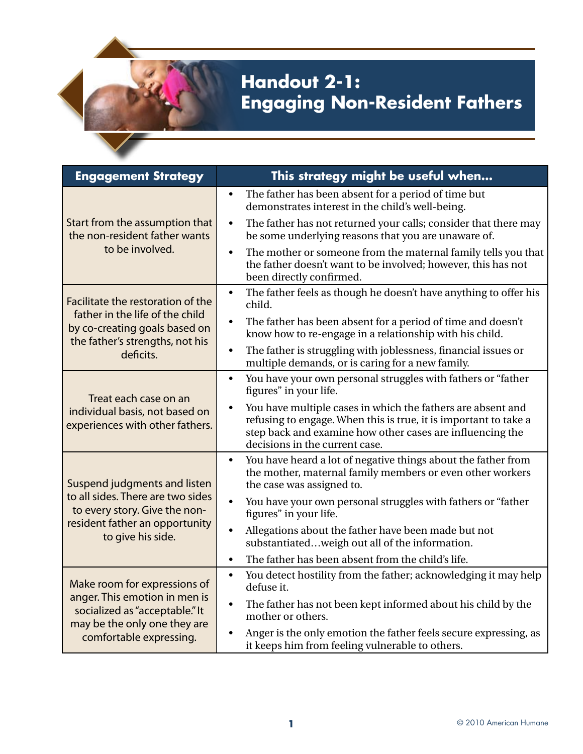## **Handout 2-1: Engaging Non-Resident Fathers**

| <b>Engagement Strategy</b>                                                                                                                                 | This strategy might be useful when                                                                                                                                                                                             |
|------------------------------------------------------------------------------------------------------------------------------------------------------------|--------------------------------------------------------------------------------------------------------------------------------------------------------------------------------------------------------------------------------|
| Start from the assumption that<br>the non-resident father wants<br>to be involved.                                                                         | The father has been absent for a period of time but<br>$\bullet$<br>demonstrates interest in the child's well-being.                                                                                                           |
|                                                                                                                                                            | The father has not returned your calls; consider that there may<br>$\bullet$<br>be some underlying reasons that you are unaware of.                                                                                            |
|                                                                                                                                                            | The mother or someone from the maternal family tells you that<br>$\bullet$<br>the father doesn't want to be involved; however, this has not<br>been directly confirmed.                                                        |
| Facilitate the restoration of the<br>father in the life of the child<br>by co-creating goals based on<br>the father's strengths, not his<br>deficits.      | The father feels as though he doesn't have anything to offer his<br>$\bullet$<br>child.                                                                                                                                        |
|                                                                                                                                                            | The father has been absent for a period of time and doesn't<br>$\bullet$<br>know how to re-engage in a relationship with his child.                                                                                            |
|                                                                                                                                                            | The father is struggling with joblessness, financial issues or<br>$\bullet$<br>multiple demands, or is caring for a new family.                                                                                                |
| Treat each case on an<br>individual basis, not based on<br>experiences with other fathers.                                                                 | You have your own personal struggles with fathers or "father<br>$\bullet$<br>figures" in your life.                                                                                                                            |
|                                                                                                                                                            | You have multiple cases in which the fathers are absent and<br>refusing to engage. When this is true, it is important to take a<br>step back and examine how other cases are influencing the<br>decisions in the current case. |
| Suspend judgments and listen<br>to all sides. There are two sides<br>to every story. Give the non-<br>resident father an opportunity<br>to give his side.  | You have heard a lot of negative things about the father from<br>$\bullet$<br>the mother, maternal family members or even other workers<br>the case was assigned to.                                                           |
|                                                                                                                                                            | You have your own personal struggles with fathers or "father<br>$\bullet$<br>figures" in your life.                                                                                                                            |
|                                                                                                                                                            | Allegations about the father have been made but not<br>$\bullet$<br>substantiatedweigh out all of the information.                                                                                                             |
|                                                                                                                                                            | The father has been absent from the child's life.<br>$\bullet$                                                                                                                                                                 |
| Make room for expressions of<br>anger. This emotion in men is<br>socialized as "acceptable." It<br>may be the only one they are<br>comfortable expressing. | You detect hostility from the father; acknowledging it may help<br>$\bullet$<br>defuse it.                                                                                                                                     |
|                                                                                                                                                            | The father has not been kept informed about his child by the<br>$\bullet$<br>mother or others.                                                                                                                                 |
|                                                                                                                                                            | Anger is the only emotion the father feels secure expressing, as<br>it keeps him from feeling vulnerable to others.                                                                                                            |